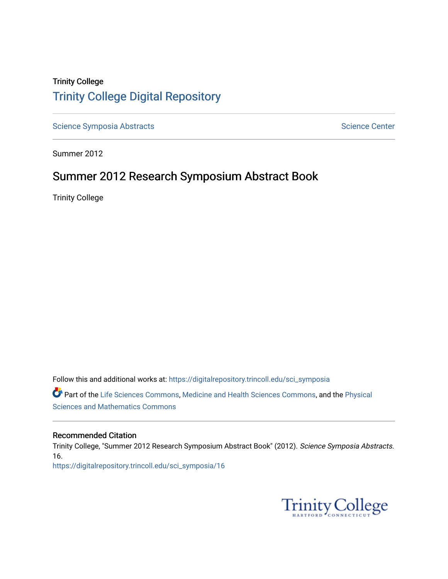## Trinity College [Trinity College Digital Repository](https://digitalrepository.trincoll.edu/)

[Science Symposia Abstracts](https://digitalrepository.trincoll.edu/sci_symposia) **Science Center** Science Center

Summer 2012

## Summer 2012 Research Symposium Abstract Book

Trinity College

Follow this and additional works at: [https://digitalrepository.trincoll.edu/sci\\_symposia](https://digitalrepository.trincoll.edu/sci_symposia?utm_source=digitalrepository.trincoll.edu%2Fsci_symposia%2F16&utm_medium=PDF&utm_campaign=PDFCoverPages)  Part of the [Life Sciences Commons,](http://network.bepress.com/hgg/discipline/1016?utm_source=digitalrepository.trincoll.edu%2Fsci_symposia%2F16&utm_medium=PDF&utm_campaign=PDFCoverPages) [Medicine and Health Sciences Commons,](http://network.bepress.com/hgg/discipline/648?utm_source=digitalrepository.trincoll.edu%2Fsci_symposia%2F16&utm_medium=PDF&utm_campaign=PDFCoverPages) and the [Physical](http://network.bepress.com/hgg/discipline/114?utm_source=digitalrepository.trincoll.edu%2Fsci_symposia%2F16&utm_medium=PDF&utm_campaign=PDFCoverPages)  [Sciences and Mathematics Commons](http://network.bepress.com/hgg/discipline/114?utm_source=digitalrepository.trincoll.edu%2Fsci_symposia%2F16&utm_medium=PDF&utm_campaign=PDFCoverPages) 

#### Recommended Citation

Trinity College, "Summer 2012 Research Symposium Abstract Book" (2012). Science Symposia Abstracts. 16. [https://digitalrepository.trincoll.edu/sci\\_symposia/16](https://digitalrepository.trincoll.edu/sci_symposia/16?utm_source=digitalrepository.trincoll.edu%2Fsci_symposia%2F16&utm_medium=PDF&utm_campaign=PDFCoverPages) 

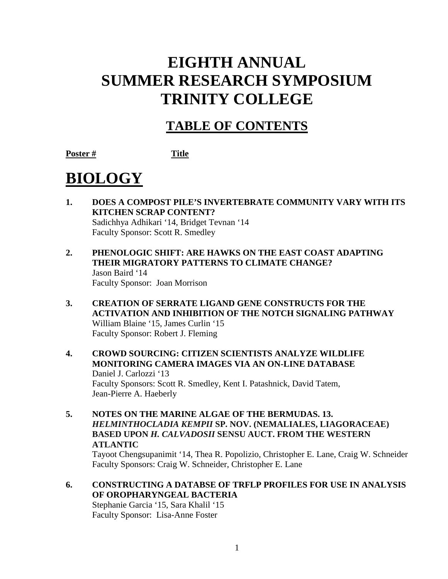## **EIGHTH ANNUAL SUMMER RESEARCH SYMPOSIUM TRINITY COLLEGE**

## **TABLE OF CONTENTS**

**Poster # Title**

# **BIOLOGY**

- **1. DOES A COMPOST PILE'S INVERTEBRATE COMMUNITY VARY WITH ITS KITCHEN SCRAP CONTENT?** Sadichhya Adhikari '14, Bridget Tevnan '14 Faculty Sponsor: Scott R. Smedley
- **2. PHENOLOGIC SHIFT: ARE HAWKS ON THE EAST COAST ADAPTING THEIR MIGRATORY PATTERNS TO CLIMATE CHANGE?** Jason Baird '14 Faculty Sponsor: Joan Morrison
- **3. CREATION OF SERRATE LIGAND GENE CONSTRUCTS FOR THE ACTIVATION AND INHIBITION OF THE NOTCH SIGNALING PATHWAY** William Blaine '15, James Curlin '15 Faculty Sponsor: Robert J. Fleming
- **4. CROWD SOURCING: CITIZEN SCIENTISTS ANALYZE WILDLIFE MONITORING CAMERA IMAGES VIA AN ON-LINE DATABASE** Daniel J. Carlozzi '13 Faculty Sponsors: Scott R. Smedley, Kent I. Patashnick, David Tatem, Jean-Pierre A. Haeberly
- **5. NOTES ON THE MARINE ALGAE OF THE BERMUDAS. 13.**  *HELMINTHOCLADIA KEMPII* **SP. NOV. (NEMALIALES, LIAGORACEAE) BASED UPON** *H. CALVADOSII* **SENSU AUCT. FROM THE WESTERN ATLANTIC**

Tayoot Chengsupanimit '14, Thea R. Popolizio, Christopher E. Lane, Craig W. Schneider Faculty Sponsors: Craig W. Schneider, Christopher E. Lane

**6. CONSTRUCTING A DATABSE OF TRFLP PROFILES FOR USE IN ANALYSIS OF OROPHARYNGEAL BACTERIA**  Stephanie Garcia '15, Sara Khalil '15

Faculty Sponsor: Lisa-Anne Foster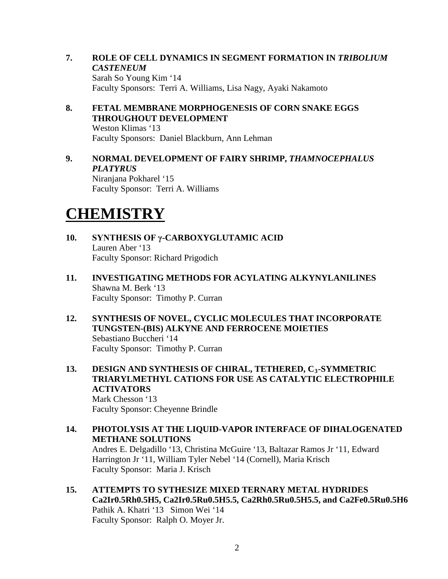- **7. ROLE OF CELL DYNAMICS IN SEGMENT FORMATION IN** *TRIBOLIUM CASTENEUM* Sarah So Young Kim '14 Faculty Sponsors: Terri A. Williams, Lisa Nagy, Ayaki Nakamoto
- **8. FETAL MEMBRANE MORPHOGENESIS OF CORN SNAKE EGGS THROUGHOUT DEVELOPMENT** Weston Klimas '13 Faculty Sponsors: Daniel Blackburn, Ann Lehman
- **9. NORMAL DEVELOPMENT OF FAIRY SHRIMP,** *THAMNOCEPHALUS PLATYRUS* Niranjana Pokharel '15

Faculty Sponsor: Terri A. Williams

## **CHEMISTRY**

- **10. SYNTHESIS OF γ-CARBOXYGLUTAMIC ACID** Lauren Aber '13 Faculty Sponsor: Richard Prigodich
- **11. INVESTIGATING METHODS FOR ACYLATING ALKYNYLANILINES** Shawna M. Berk '13 Faculty Sponsor: Timothy P. Curran
- **12. SYNTHESIS OF NOVEL, CYCLIC MOLECULES THAT INCORPORATE TUNGSTEN-(BIS) ALKYNE AND FERROCENE MOIETIES** Sebastiano Buccheri '14 Faculty Sponsor: Timothy P. Curran
- **13. DESIGN AND SYNTHESIS OF CHIRAL, TETHERED, C3-SYMMETRIC TRIARYLMETHYL CATIONS FOR USE AS CATALYTIC ELECTROPHILE ACTIVATORS** Mark Chesson '13 Faculty Sponsor: Cheyenne Brindle
- **14. PHOTOLYSIS AT THE LIQUID-VAPOR INTERFACE OF DIHALOGENATED METHANE SOLUTIONS**  Andres E. Delgadillo '13, Christina McGuire '13, Baltazar Ramos Jr '11, Edward Harrington Jr '11, William Tyler Nebel '14 (Cornell), Maria Krisch Faculty Sponsor: Maria J. Krisch
- **15. ATTEMPTS TO SYTHESIZE MIXED TERNARY METAL HYDRIDES Ca2Ir0.5Rh0.5H5, Ca2Ir0.5Ru0.5H5.5, Ca2Rh0.5Ru0.5H5.5, and Ca2Fe0.5Ru0.5H6** Pathik A. Khatri '13 Simon Wei '14 Faculty Sponsor: Ralph O. Moyer Jr.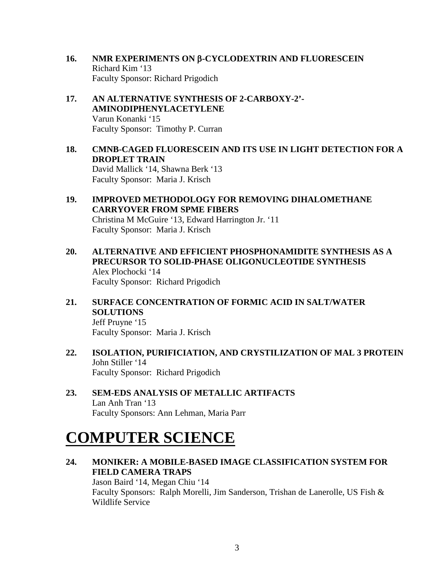- **16. NMR EXPERIMENTS ON** β**-CYCLODEXTRIN AND FLUORESCEIN** Richard Kim '13 Faculty Sponsor: Richard Prigodich
- **17. AN ALTERNATIVE SYNTHESIS OF 2-CARBOXY-2'- AMINODIPHENYLACETYLENE** Varun Konanki '15 Faculty Sponsor: Timothy P. Curran
- **18. CMNB-CAGED FLUORESCEIN AND ITS USE IN LIGHT DETECTION FOR A DROPLET TRAIN** David Mallick '14, Shawna Berk '13 Faculty Sponsor: Maria J. Krisch
- **19. IMPROVED METHODOLOGY FOR REMOVING DIHALOMETHANE CARRYOVER FROM SPME FIBERS** Christina M McGuire '13, Edward Harrington Jr. '11 Faculty Sponsor: Maria J. Krisch
- **20. ALTERNATIVE AND EFFICIENT PHOSPHONAMIDITE SYNTHESIS AS A PRECURSOR TO SOLID-PHASE OLIGONUCLEOTIDE SYNTHESIS** Alex Plochocki '14 Faculty Sponsor: Richard Prigodich
- **21. SURFACE CONCENTRATION OF FORMIC ACID IN SALT/WATER SOLUTIONS** Jeff Pruyne '15 Faculty Sponsor: Maria J. Krisch
- **22. ISOLATION, PURIFICIATION, AND CRYSTILIZATION OF MAL 3 PROTEIN** John Stiller '14 Faculty Sponsor: Richard Prigodich
- **23. SEM-EDS ANALYSIS OF METALLIC ARTIFACTS** Lan Anh Tran '13 Faculty Sponsors: Ann Lehman, Maria Parr

## **COMPUTER SCIENCE**

**24. MONIKER: A MOBILE-BASED IMAGE CLASSIFICATION SYSTEM FOR FIELD CAMERA TRAPS** Jason Baird '14, Megan Chiu '14 Faculty Sponsors: Ralph Morelli, Jim Sanderson, Trishan de Lanerolle, US Fish & Wildlife Service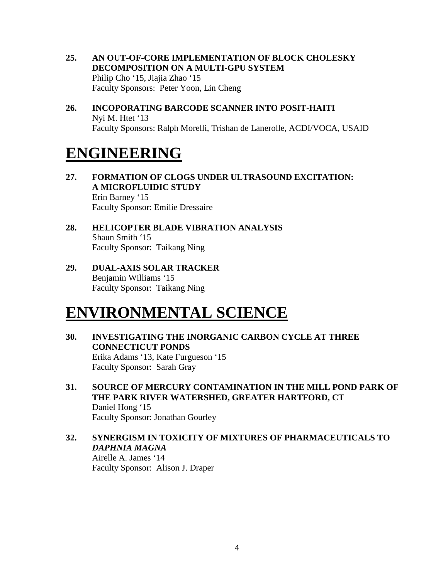- **25. AN OUT-OF-CORE IMPLEMENTATION OF BLOCK CHOLESKY DECOMPOSITION ON A MULTI-GPU SYSTEM** Philip Cho '15, Jiajia Zhao '15 Faculty Sponsors: Peter Yoon, Lin Cheng
- **26. INCOPORATING BARCODE SCANNER INTO POSIT-HAITI** Nyi M. Htet '13 Faculty Sponsors: Ralph Morelli, Trishan de Lanerolle, ACDI/VOCA, USAID

## **ENGINEERING**

- **27. FORMATION OF CLOGS UNDER ULTRASOUND EXCITATION: A MICROFLUIDIC STUDY** Erin Barney '15 Faculty Sponsor: Emilie Dressaire
- **28. HELICOPTER BLADE VIBRATION ANALYSIS** Shaun Smith '15 Faculty Sponsor: Taikang Ning
- **29. DUAL-AXIS SOLAR TRACKER** Benjamin Williams '15 Faculty Sponsor: Taikang Ning

## **ENVIRONMENTAL SCIENCE**

- **30. INVESTIGATING THE INORGANIC CARBON CYCLE AT THREE CONNECTICUT PONDS** Erika Adams '13, Kate Furgueson '15 Faculty Sponsor: Sarah Gray
- **31. SOURCE OF MERCURY CONTAMINATION IN THE MILL POND PARK OF THE PARK RIVER WATERSHED, GREATER HARTFORD, CT** Daniel Hong '15 Faculty Sponsor: Jonathan Gourley
- **32. SYNERGISM IN TOXICITY OF MIXTURES OF PHARMACEUTICALS TO**  *DAPHNIA MAGNA*

Airelle A. James '14 Faculty Sponsor: Alison J. Draper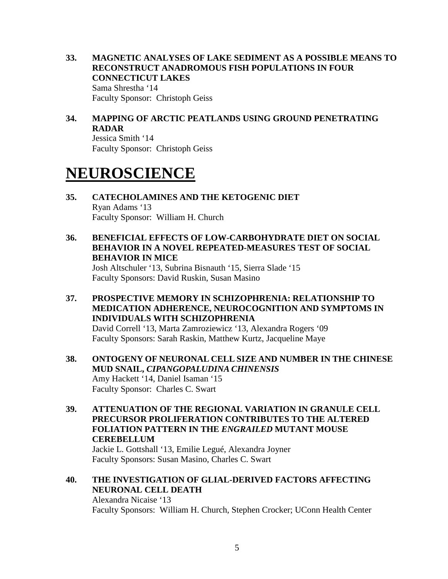- **33. MAGNETIC ANALYSES OF LAKE SEDIMENT AS A POSSIBLE MEANS TO RECONSTRUCT ANADROMOUS FISH POPULATIONS IN FOUR CONNECTICUT LAKES** Sama Shrestha '14 Faculty Sponsor: Christoph Geiss
- **34. MAPPING OF ARCTIC PEATLANDS USING GROUND PENETRATING RADAR**

Jessica Smith '14 Faculty Sponsor: Christoph Geiss

## **NEUROSCIENCE**

- **35. CATECHOLAMINES AND THE KETOGENIC DIET** Ryan Adams '13 Faculty Sponsor: William H. Church
- **36. BENEFICIAL EFFECTS OF LOW-CARBOHYDRATE DIET ON SOCIAL BEHAVIOR IN A NOVEL REPEATED-MEASURES TEST OF SOCIAL BEHAVIOR IN MICE**

Josh Altschuler '13, Subrina Bisnauth '15, Sierra Slade '15 Faculty Sponsors: David Ruskin, Susan Masino

**37. PROSPECTIVE MEMORY IN SCHIZOPHRENIA: RELATIONSHIP TO MEDICATION ADHERENCE, NEUROCOGNITION AND SYMPTOMS IN INDIVIDUALS WITH SCHIZOPHRENIA** David Correll '13, Marta Zamroziewicz '13, Alexandra Rogers '09

Faculty Sponsors: Sarah Raskin, Matthew Kurtz, Jacqueline Maye

- **38. ONTOGENY OF NEURONAL CELL SIZE AND NUMBER IN THE CHINESE MUD SNAIL,** *CIPANGOPALUDINA CHINENSIS* Amy Hackett '14, Daniel Isaman '15 Faculty Sponsor: Charles C. Swart
- **39. ATTENUATION OF THE REGIONAL VARIATION IN GRANULE CELL PRECURSOR PROLIFERATION CONTRIBUTES TO THE ALTERED FOLIATION PATTERN IN THE** *ENGRAILED* **MUTANT MOUSE CEREBELLUM**

Jackie L. Gottshall '13, Emilie Legué, Alexandra Joyner Faculty Sponsors: Susan Masino, Charles C. Swart

#### **40. THE INVESTIGATION OF GLIAL-DERIVED FACTORS AFFECTING NEURONAL CELL DEATH** Alexandra Nicaise '13

Faculty Sponsors: William H. Church, Stephen Crocker; UConn Health Center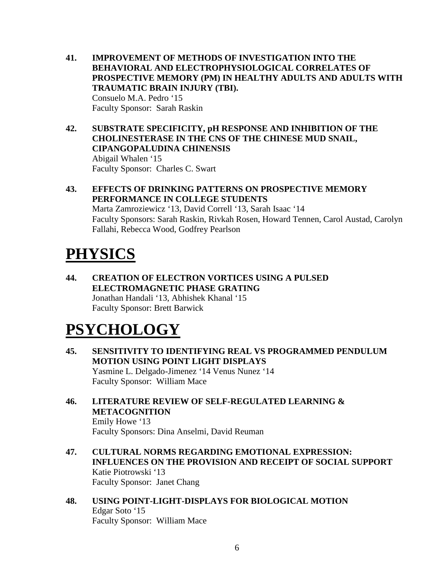- **41. IMPROVEMENT OF METHODS OF INVESTIGATION INTO THE BEHAVIORAL AND ELECTROPHYSIOLOGICAL CORRELATES OF PROSPECTIVE MEMORY (PM) IN HEALTHY ADULTS AND ADULTS WITH TRAUMATIC BRAIN INJURY (TBI).**  Consuelo M.A. Pedro '15 Faculty Sponsor: Sarah Raskin
- **42. SUBSTRATE SPECIFICITY, pH RESPONSE AND INHIBITION OF THE CHOLINESTERASE IN THE CNS OF THE CHINESE MUD SNAIL, CIPANGOPALUDINA CHINENSIS** Abigail Whalen '15 Faculty Sponsor: Charles C. Swart
- **43. EFFECTS OF DRINKING PATTERNS ON PROSPECTIVE MEMORY PERFORMANCE IN COLLEGE STUDENTS** Marta Zamroziewicz '13, David Correll '13, Sarah Isaac '14 Faculty Sponsors: Sarah Raskin, Rivkah Rosen, Howard Tennen, Carol Austad, Carolyn Fallahi, Rebecca Wood, Godfrey Pearlson

# **PHYSICS**

**44. CREATION OF ELECTRON VORTICES USING A PULSED ELECTROMAGNETIC PHASE GRATING** Jonathan Handali '13, Abhishek Khanal '15 Faculty Sponsor: Brett Barwick

## **PSYCHOLOGY**

- **45. SENSITIVITY TO IDENTIFYING REAL VS PROGRAMMED PENDULUM MOTION USING POINT LIGHT DISPLAYS** Yasmine L. Delgado-Jimenez '14 Venus Nunez '14 Faculty Sponsor: William Mace
- **46. LITERATURE REVIEW OF SELF-REGULATED LEARNING & METACOGNITION**

Emily Howe '13 Faculty Sponsors: Dina Anselmi, David Reuman

- **47. CULTURAL NORMS REGARDING EMOTIONAL EXPRESSION: INFLUENCES ON THE PROVISION AND RECEIPT OF SOCIAL SUPPORT**  Katie Piotrowski '13 Faculty Sponsor: Janet Chang
- **48. USING POINT-LIGHT-DISPLAYS FOR BIOLOGICAL MOTION**  Edgar Soto '15 Faculty Sponsor: William Mace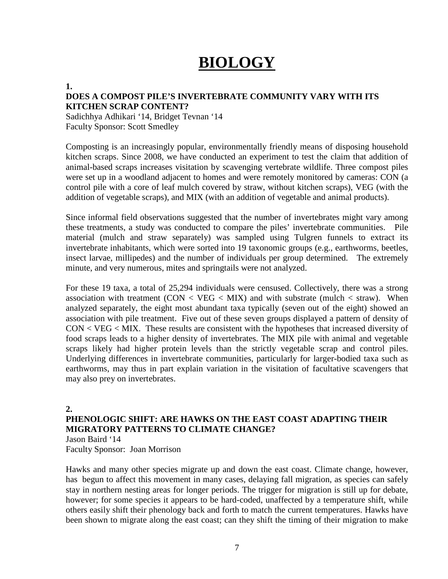# **BIOLOGY**

#### **1.**

### **DOES A COMPOST PILE'S INVERTEBRATE COMMUNITY VARY WITH ITS KITCHEN SCRAP CONTENT?**

Sadichhya Adhikari '14, Bridget Tevnan '14 Faculty Sponsor: Scott Smedley

Composting is an increasingly popular, environmentally friendly means of disposing household kitchen scraps. Since 2008, we have conducted an experiment to test the claim that addition of animal-based scraps increases visitation by scavenging vertebrate wildlife. Three compost piles were set up in a woodland adjacent to homes and were remotely monitored by cameras: CON (a control pile with a core of leaf mulch covered by straw, without kitchen scraps), VEG (with the addition of vegetable scraps), and MIX (with an addition of vegetable and animal products).

Since informal field observations suggested that the number of invertebrates might vary among these treatments, a study was conducted to compare the piles' invertebrate communities. Pile material (mulch and straw separately) was sampled using Tulgren funnels to extract its invertebrate inhabitants, which were sorted into 19 taxonomic groups (e.g., earthworms, beetles, insect larvae, millipedes) and the number of individuals per group determined. The extremely minute, and very numerous, mites and springtails were not analyzed.

For these 19 taxa, a total of 25,294 individuals were censused. Collectively, there was a strong association with treatment  $(CON < VEG < MIX)$  and with substrate (mulch  $<$  straw). When analyzed separately, the eight most abundant taxa typically (seven out of the eight) showed an association with pile treatment. Five out of these seven groups displayed a pattern of density of CON < VEG < MIX. These results are consistent with the hypotheses that increased diversity of food scraps leads to a higher density of invertebrates. The MIX pile with animal and vegetable scraps likely had higher protein levels than the strictly vegetable scrap and control piles. Underlying differences in invertebrate communities, particularly for larger-bodied taxa such as earthworms, may thus in part explain variation in the visitation of facultative scavengers that may also prey on invertebrates.

### **2.**

### **PHENOLOGIC SHIFT: ARE HAWKS ON THE EAST COAST ADAPTING THEIR MIGRATORY PATTERNS TO CLIMATE CHANGE?** Jason Baird '14

Faculty Sponsor: Joan Morrison

Hawks and many other species migrate up and down the east coast. Climate change, however, has begun to affect this movement in many cases, delaying fall migration, as species can safely stay in northern nesting areas for longer periods. The trigger for migration is still up for debate, however; for some species it appears to be hard-coded, unaffected by a temperature shift, while others easily shift their phenology back and forth to match the current temperatures. Hawks have been shown to migrate along the east coast; can they shift the timing of their migration to make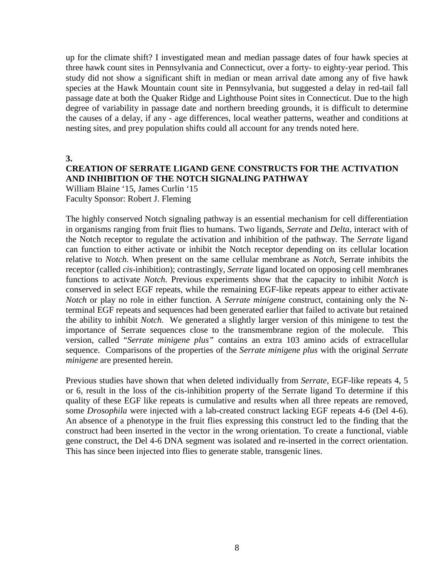up for the climate shift? I investigated mean and median passage dates of four hawk species at three hawk count sites in Pennsylvania and Connecticut, over a forty- to eighty-year period. This study did not show a significant shift in median or mean arrival date among any of five hawk species at the Hawk Mountain count site in Pennsylvania, but suggested a delay in red-tail fall passage date at both the Quaker Ridge and Lighthouse Point sites in Connecticut. Due to the high degree of variability in passage date and northern breeding grounds, it is difficult to determine the causes of a delay, if any - age differences, local weather patterns, weather and conditions at nesting sites, and prey population shifts could all account for any trends noted here.

**3.**

## **CREATION OF SERRATE LIGAND GENE CONSTRUCTS FOR THE ACTIVATION AND INHIBITION OF THE NOTCH SIGNALING PATHWAY**

William Blaine '15, James Curlin '15 Faculty Sponsor: Robert J. Fleming

The highly conserved Notch signaling pathway is an essential mechanism for cell differentiation in organisms ranging from fruit flies to humans. Two ligands, *Serrate* and *Delta*, interact with of the Notch receptor to regulate the activation and inhibition of the pathway. The *Serrate* ligand can function to either activate or inhibit the Notch receptor depending on its cellular location relative to *Notch*. When present on the same cellular membrane as *Notch*, Serrate inhibits the receptor (called *cis*-inhibition); contrastingly, *Serrate* ligand located on opposing cell membranes functions to activate *Notch*. Previous experiments show that the capacity to inhibit *Notch* is conserved in select EGF repeats, while the remaining EGF-like repeats appear to either activate *Notch* or play no role in either function. A *Serrate minigene* construct, containing only the Nterminal EGF repeats and sequences had been generated earlier that failed to activate but retained the ability to inhibit *Notch*. We generated a slightly larger version of this minigene to test the importance of Serrate sequences close to the transmembrane region of the molecule. This version, called "*Serrate minigene plus"* contains an extra 103 amino acids of extracellular sequence. Comparisons of the properties of the *Serrate minigene plus* with the original *Serrate minigene* are presented herein.

Previous studies have shown that when deleted individually from *Serrate*, EGF*-*like repeats 4, 5 or 6, result in the loss of the cis-inhibition property of the Serrate ligand To determine if this quality of these EGF like repeats is cumulative and results when all three repeats are removed, some *Drosophila* were injected with a lab-created construct lacking EGF repeats 4-6 (Del 4-6). An absence of a phenotype in the fruit flies expressing this construct led to the finding that the construct had been inserted in the vector in the wrong orientation. To create a functional, viable gene construct, the Del 4-6 DNA segment was isolated and re-inserted in the correct orientation. This has since been injected into flies to generate stable, transgenic lines.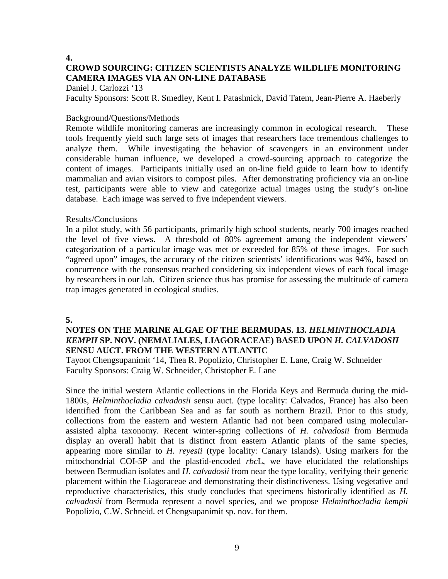#### **4. CROWD SOURCING: CITIZEN SCIENTISTS ANALYZE WILDLIFE MONITORING**

## **CAMERA IMAGES VIA AN ON-LINE DATABASE**

Daniel J. Carlozzi '13

Faculty Sponsors: Scott R. Smedley, Kent I. Patashnick, David Tatem, Jean-Pierre A. Haeberly

### Background/Questions/Methods

Remote wildlife monitoring cameras are increasingly common in ecological research. These tools frequently yield such large sets of images that researchers face tremendous challenges to analyze them. While investigating the behavior of scavengers in an environment under considerable human influence, we developed a crowd-sourcing approach to categorize the content of images. Participants initially used an on-line field guide to learn how to identify mammalian and avian visitors to compost piles. After demonstrating proficiency via an on-line test, participants were able to view and categorize actual images using the study's on-line database. Each image was served to five independent viewers.

### Results/Conclusions

In a pilot study, with 56 participants, primarily high school students, nearly 700 images reached the level of five views. A threshold of 80% agreement among the independent viewers' categorization of a particular image was met or exceeded for 85% of these images. For such "agreed upon" images, the accuracy of the citizen scientists' identifications was 94%, based on concurrence with the consensus reached considering six independent views of each focal image by researchers in our lab. Citizen science thus has promise for assessing the multitude of camera trap images generated in ecological studies.

### **5.**

### **NOTES ON THE MARINE ALGAE OF THE BERMUDAS. 13.** *HELMINTHOCLADIA KEMPII* **SP. NOV. (NEMALIALES, LIAGORACEAE) BASED UPON** *H. CALVADOSII* **SENSU AUCT. FROM THE WESTERN ATLANTIC**

Tayoot Chengsupanimit '14, Thea R. Popolizio, Christopher E. Lane, Craig W. Schneider Faculty Sponsors: Craig W. Schneider, Christopher E. Lane

Since the initial western Atlantic collections in the Florida Keys and Bermuda during the mid-1800s, *Helminthocladia calvadosii* sensu auct. (type locality: Calvados, France) has also been identified from the Caribbean Sea and as far south as northern Brazil. Prior to this study, collections from the eastern and western Atlantic had not been compared using molecularassisted alpha taxonomy. Recent winter-spring collections of *H. calvadosii* from Bermuda display an overall habit that is distinct from eastern Atlantic plants of the same species, appearing more similar to *H. reyesii* (type locality: Canary Islands). Using markers for the mitochondrial COI-5P and the plastid-encoded *rbc*L, we have elucidated the relationships between Bermudian isolates and *H. calvadosii* from near the type locality, verifying their generic placement within the Liagoraceae and demonstrating their distinctiveness. Using vegetative and reproductive characteristics, this study concludes that specimens historically identified as *H. calvadosii* from Bermuda represent a novel species, and we propose *Helminthocladia kempii* Popolizio, C.W. Schneid. et Chengsupanimit sp. nov. for them.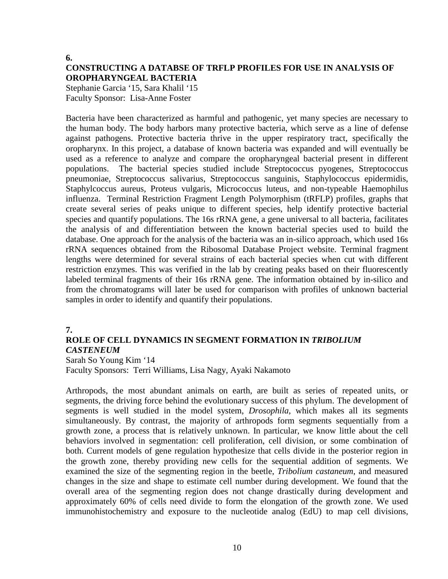#### **6.**

## **CONSTRUCTING A DATABSE OF TRFLP PROFILES FOR USE IN ANALYSIS OF OROPHARYNGEAL BACTERIA**

Stephanie Garcia '15, Sara Khalil '15 Faculty Sponsor: Lisa-Anne Foster

Bacteria have been characterized as harmful and pathogenic, yet many species are necessary to the human body. The body harbors many protective bacteria, which serve as a line of defense against pathogens. Protective bacteria thrive in the upper respiratory tract, specifically the oropharynx. In this project, a database of known bacteria was expanded and will eventually be used as a reference to analyze and compare the oropharyngeal bacterial present in different populations. The bacterial species studied include Streptococcus pyogenes, Streptococcus pneumoniae, Streptococcus salivarius, Streptococcus sanguinis, Staphylococcus epidermidis, Staphylcoccus aureus, Proteus vulgaris, Micrococcus luteus, and non-typeable Haemophilus influenza. Terminal Restriction Fragment Length Polymorphism (tRFLP) profiles, graphs that create several series of peaks unique to different species, help identify protective bacterial species and quantify populations. The 16s rRNA gene, a gene universal to all bacteria, facilitates the analysis of and differentiation between the known bacterial species used to build the database. One approach for the analysis of the bacteria was an in-silico approach, which used 16s rRNA sequences obtained from the Ribosomal Database Project website. Terminal fragment lengths were determined for several strains of each bacterial species when cut with different restriction enzymes. This was verified in the lab by creating peaks based on their fluorescently labeled terminal fragments of their 16s rRNA gene. The information obtained by in-silico and from the chromatograms will later be used for comparison with profiles of unknown bacterial samples in order to identify and quantify their populations.

### **7.**

## **ROLE OF CELL DYNAMICS IN SEGMENT FORMATION IN** *TRIBOLIUM CASTENEUM*

Sarah So Young Kim '14 Faculty Sponsors: Terri Williams, Lisa Nagy, Ayaki Nakamoto

Arthropods, the most abundant animals on earth, are built as series of repeated units, or segments, the driving force behind the evolutionary success of this phylum. The development of segments is well studied in the model system, *Drosophila*, which makes all its segments simultaneously. By contrast, the majority of arthropods form segments sequentially from a growth zone, a process that is relatively unknown. In particular, we know little about the cell behaviors involved in segmentation: cell proliferation, cell division, or some combination of both. Current models of gene regulation hypothesize that cells divide in the posterior region in the growth zone, thereby providing new cells for the sequential addition of segments. We examined the size of the segmenting region in the beetle, *Tribolium castaneum*, and measured changes in the size and shape to estimate cell number during development. We found that the overall area of the segmenting region does not change drastically during development and approximately 60% of cells need divide to form the elongation of the growth zone. We used immunohistochemistry and exposure to the nucleotide analog (EdU) to map cell divisions,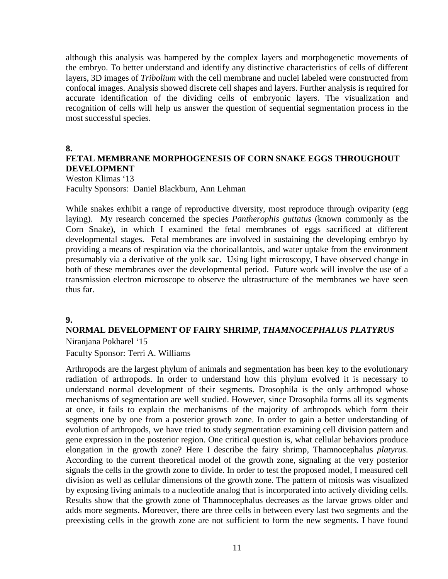although this analysis was hampered by the complex layers and morphogenetic movements of the embryo. To better understand and identify any distinctive characteristics of cells of different layers, 3D images of *Tribolium* with the cell membrane and nuclei labeled were constructed from confocal images. Analysis showed discrete cell shapes and layers. Further analysis is required for accurate identification of the dividing cells of embryonic layers. The visualization and recognition of cells will help us answer the question of sequential segmentation process in the most successful species.

**8.**

## **FETAL MEMBRANE MORPHOGENESIS OF CORN SNAKE EGGS THROUGHOUT DEVELOPMENT**

Weston Klimas '13 Faculty Sponsors: Daniel Blackburn, Ann Lehman

While snakes exhibit a range of reproductive diversity, most reproduce through oviparity (egg laying). My research concerned the species *Pantherophis guttatus* (known commonly as the Corn Snake), in which I examined the fetal membranes of eggs sacrificed at different developmental stages. Fetal membranes are involved in sustaining the developing embryo by providing a means of respiration via the chorioallantois, and water uptake from the environment presumably via a derivative of the yolk sac. Using light microscopy, I have observed change in both of these membranes over the developmental period. Future work will involve the use of a transmission electron microscope to observe the ultrastructure of the membranes we have seen thus far.

### **9.**

### **NORMAL DEVELOPMENT OF FAIRY SHRIMP,** *THAMNOCEPHALUS PLATYRUS* Niranjana Pokharel '15

Faculty Sponsor: Terri A. Williams

Arthropods are the largest phylum of animals and segmentation has been key to the evolutionary radiation of arthropods. In order to understand how this phylum evolved it is necessary to understand normal development of their segments. Drosophila is the only arthropod whose mechanisms of segmentation are well studied. However, since Drosophila forms all its segments at once, it fails to explain the mechanisms of the majority of arthropods which form their segments one by one from a posterior growth zone. In order to gain a better understanding of evolution of arthropods, we have tried to study segmentation examining cell division pattern and gene expression in the posterior region. One critical question is, what cellular behaviors produce elongation in the growth zone? Here I describe the fairy shrimp, Thamnocephalus *platyrus*. According to the current theoretical model of the growth zone, signaling at the very posterior signals the cells in the growth zone to divide. In order to test the proposed model, I measured cell division as well as cellular dimensions of the growth zone. The pattern of mitosis was visualized by exposing living animals to a nucleotide analog that is incorporated into actively dividing cells. Results show that the growth zone of Thamnocephalus decreases as the larvae grows older and adds more segments. Moreover, there are three cells in between every last two segments and the preexisting cells in the growth zone are not sufficient to form the new segments. I have found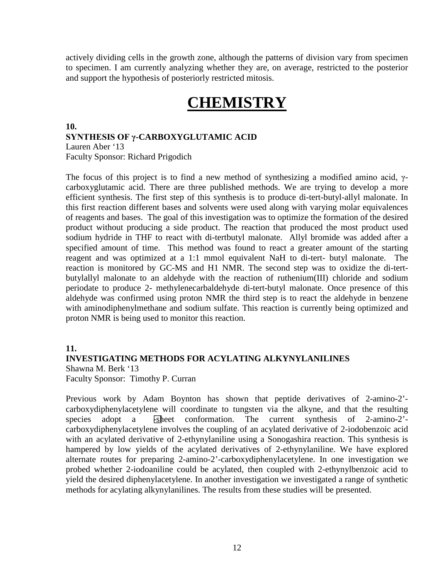actively dividing cells in the growth zone, although the patterns of division vary from specimen to specimen. I am currently analyzing whether they are, on average, restricted to the posterior and support the hypothesis of posteriorly restricted mitosis.

## **CHEMISTRY**

### **10. SYNTHESIS OF γ-CARBOXYGLUTAMIC ACID** Lauren Aber '13 Faculty Sponsor: Richard Prigodich

The focus of this project is to find a new method of synthesizing a modified amino acid, γcarboxyglutamic acid. There are three published methods. We are trying to develop a more efficient synthesis. The first step of this synthesis is to produce di-tert-butyl-allyl malonate. In this first reaction different bases and solvents were used along with varying molar equivalences of reagents and bases. The goal of this investigation was to optimize the formation of the desired product without producing a side product. The reaction that produced the most product used sodium hydride in THF to react with di-tertbutyl malonate. Allyl bromide was added after a specified amount of time. This method was found to react a greater amount of the starting reagent and was optimized at a 1:1 mmol equivalent NaH to di-tert- butyl malonate. The reaction is monitored by GC-MS and H1 NMR. The second step was to oxidize the di-tertbutylallyl malonate to an aldehyde with the reaction of ruthenium(III) chloride and sodium periodate to produce 2- methylenecarbaldehyde di-tert-butyl malonate. Once presence of this aldehyde was confirmed using proton NMR the third step is to react the aldehyde in benzene with aminodiphenylmethane and sodium sulfate. This reaction is currently being optimized and proton NMR is being used to monitor this reaction.

### **11.**

### **INVESTIGATING METHODS FOR ACYLATING ALKYNYLANILINES**

Shawna M. Berk '13

Faculty Sponsor: Timothy P. Curran

Previous work by Adam Boynton has shown that peptide derivatives of 2-amino-2' carboxydiphenylacetylene will coordinate to tungsten via the alkyne, and that the resulting species adopt a -sheet conformation. The current synthesis of 2-amino-2'carboxydiphenylacetylene involves the coupling of an acylated derivative of 2-iodobenzoic acid with an acylated derivative of 2-ethynylaniline using a Sonogashira reaction. This synthesis is hampered by low yields of the acylated derivatives of 2-ethynylaniline. We have explored alternate routes for preparing 2-amino-2'-carboxydiphenylacetylene. In one investigation we probed whether 2-iodoaniline could be acylated, then coupled with 2-ethynylbenzoic acid to yield the desired diphenylacetylene. In another investigation we investigated a range of synthetic methods for acylating alkynylanilines. The results from these studies will be presented.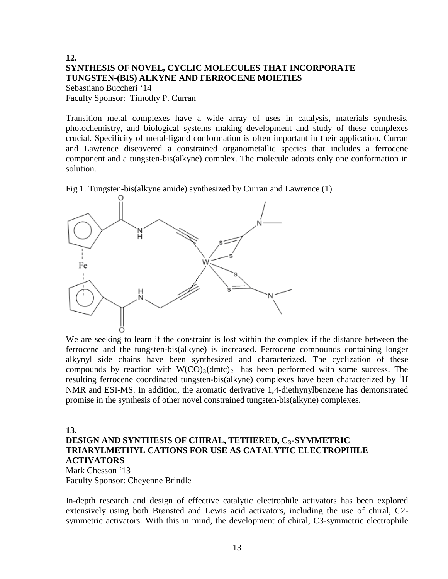### **12. SYNTHESIS OF NOVEL, CYCLIC MOLECULES THAT INCORPORATE TUNGSTEN-(BIS) ALKYNE AND FERROCENE MOIETIES** Sebastiano Buccheri '14

Faculty Sponsor: Timothy P. Curran

Transition metal complexes have a wide array of uses in catalysis, materials synthesis, photochemistry, and biological systems making development and study of these complexes crucial. Specificity of metal-ligand conformation is often important in their application. Curran and Lawrence discovered a constrained organometallic species that includes a ferrocene component and a tungsten-bis(alkyne) complex. The molecule adopts only one conformation in solution.

Fig 1. Tungsten-bis(alkyne amide) synthesized by Curran and Lawrence (1)



We are seeking to learn if the constraint is lost within the complex if the distance between the ferrocene and the tungsten-bis(alkyne) is increased. Ferrocene compounds containing longer alkynyl side chains have been synthesized and characterized. The cyclization of these compounds by reaction with  $W(CO)_{3}(dmtc)_{2}$  has been performed with some success. The resulting ferrocene coordinated tungsten-bis(alkyne) complexes have been characterized by  ${}^{1}H$ NMR and ESI-MS. In addition, the aromatic derivative 1,4-diethynylbenzene has demonstrated promise in the synthesis of other novel constrained tungsten-bis(alkyne) complexes.

### **13. DESIGN AND SYNTHESIS OF CHIRAL, TETHERED, C3-SYMMETRIC TRIARYLMETHYL CATIONS FOR USE AS CATALYTIC ELECTROPHILE ACTIVATORS**

Mark Chesson '13 Faculty Sponsor: Cheyenne Brindle

In-depth research and design of effective catalytic electrophile activators has been explored extensively using both Brønsted and Lewis acid activators, including the use of chiral, C2 symmetric activators. With this in mind, the development of chiral, C3-symmetric electrophile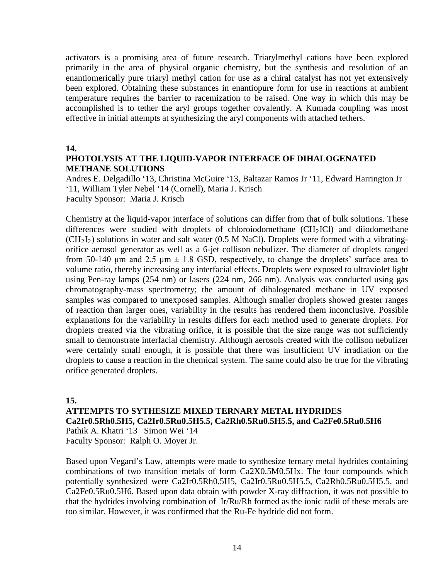activators is a promising area of future research. Triarylmethyl cations have been explored primarily in the area of physical organic chemistry, but the synthesis and resolution of an enantiomerically pure triaryl methyl cation for use as a chiral catalyst has not yet extensively been explored. Obtaining these substances in enantiopure form for use in reactions at ambient temperature requires the barrier to racemization to be raised. One way in which this may be accomplished is to tether the aryl groups together covalently. A Kumada coupling was most effective in initial attempts at synthesizing the aryl components with attached tethers.

**14.**

### **PHOTOLYSIS AT THE LIQUID-VAPOR INTERFACE OF DIHALOGENATED METHANE SOLUTIONS**

Andres E. Delgadillo '13, Christina McGuire '13, Baltazar Ramos Jr '11, Edward Harrington Jr '11, William Tyler Nebel '14 (Cornell), Maria J. Krisch Faculty Sponsor: Maria J. Krisch

Chemistry at the liquid-vapor interface of solutions can differ from that of bulk solutions. These differences were studied with droplets of chloroiodomethane  $(CH<sub>2</sub>ICl)$  and diiodomethane  $(CH<sub>2</sub>I<sub>2</sub>)$  solutions in water and salt water (0.5 M NaCl). Droplets were formed with a vibratingorifice aerosol generator as well as a 6-jet collison nebulizer. The diameter of droplets ranged from 50-140 μm and 2.5 μm  $\pm$  1.8 GSD, respectively, to change the droplets' surface area to volume ratio, thereby increasing any interfacial effects. Droplets were exposed to ultraviolet light using Pen-ray lamps (254 nm) or lasers (224 nm, 266 nm). Analysis was conducted using gas chromatography-mass spectrometry; the amount of dihalogenated methane in UV exposed samples was compared to unexposed samples. Although smaller droplets showed greater ranges of reaction than larger ones, variability in the results has rendered them inconclusive. Possible explanations for the variability in results differs for each method used to generate droplets. For droplets created via the vibrating orifice, it is possible that the size range was not sufficiently small to demonstrate interfacial chemistry. Although aerosols created with the collison nebulizer were certainly small enough, it is possible that there was insufficient UV irradiation on the droplets to cause a reaction in the chemical system. The same could also be true for the vibrating orifice generated droplets.

**15.**

### **ATTEMPTS TO SYTHESIZE MIXED TERNARY METAL HYDRIDES Ca2Ir0.5Rh0.5H5, Ca2Ir0.5Ru0.5H5.5, Ca2Rh0.5Ru0.5H5.5, and Ca2Fe0.5Ru0.5H6** Pathik A. Khatri '13 Simon Wei '14 Faculty Sponsor: Ralph O. Moyer Jr.

Based upon Vegard's Law, attempts were made to synthesize ternary metal hydrides containing combinations of two transition metals of form Ca2X0.5M0.5Hx. The four compounds which potentially synthesized were Ca2Ir0.5Rh0.5H5, Ca2Ir0.5Ru0.5H5.5, Ca2Rh0.5Ru0.5H5.5, and Ca2Fe0.5Ru0.5H6. Based upon data obtain with powder X-ray diffraction, it was not possible to that the hydrides involving combination of Ir/Ru/Rh formed as the ionic radii of these metals are too similar. However, it was confirmed that the Ru-Fe hydride did not form.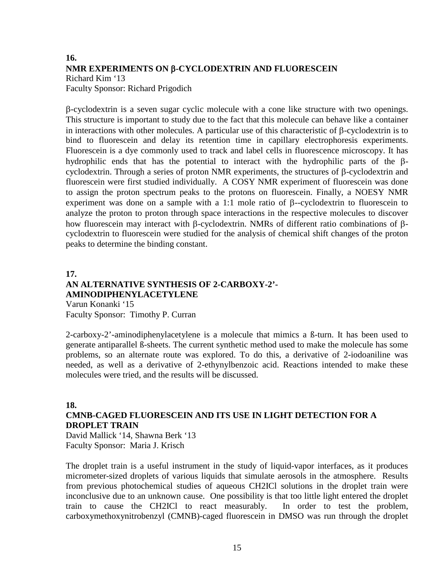## **16. NMR EXPERIMENTS ON** β**-CYCLODEXTRIN AND FLUORESCEIN** Richard Kim '13 Faculty Sponsor: Richard Prigodich

β-cyclodextrin is a seven sugar cyclic molecule with a cone like structure with two openings. This structure is important to study due to the fact that this molecule can behave like a container in interactions with other molecules. A particular use of this characteristic of β-cyclodextrin is to bind to fluorescein and delay its retention time in capillary electrophoresis experiments. Fluorescein is a dye commonly used to track and label cells in fluorescence microscopy. It has hydrophilic ends that has the potential to interact with the hydrophilic parts of the βcyclodextrin. Through a series of proton NMR experiments, the structures of β-cyclodextrin and fluorescein were first studied individually. A COSY NMR experiment of fluorescein was done to assign the proton spectrum peaks to the protons on fluorescein. Finally, a NOESY NMR experiment was done on a sample with a 1:1 mole ratio of  $\beta$ -cyclodextrin to fluorescein to analyze the proton to proton through space interactions in the respective molecules to discover how fluorescein may interact with β-cyclodextrin. NMRs of different ratio combinations of βcyclodextrin to fluorescein were studied for the analysis of chemical shift changes of the proton peaks to determine the binding constant.

### **17. AN ALTERNATIVE SYNTHESIS OF 2-CARBOXY-2'- AMINODIPHENYLACETYLENE** Varun Konanki '15

Faculty Sponsor: Timothy P. Curran

2-carboxy-2'-aminodiphenylacetylene is a molecule that mimics a ß-turn. It has been used to generate antiparallel ß-sheets. The current synthetic method used to make the molecule has some problems, so an alternate route was explored. To do this, a derivative of 2-iodoaniline was needed, as well as a derivative of 2-ethynylbenzoic acid. Reactions intended to make these molecules were tried, and the results will be discussed.

### **18. CMNB-CAGED FLUORESCEIN AND ITS USE IN LIGHT DETECTION FOR A DROPLET TRAIN**

David Mallick '14, Shawna Berk '13 Faculty Sponsor: Maria J. Krisch

The droplet train is a useful instrument in the study of liquid-vapor interfaces, as it produces micrometer-sized droplets of various liquids that simulate aerosols in the atmosphere. Results from previous photochemical studies of aqueous CH2ICl solutions in the droplet train were inconclusive due to an unknown cause. One possibility is that too little light entered the droplet train to cause the CH2ICl to react measurably. In order to test the problem, carboxymethoxynitrobenzyl (CMNB)-caged fluorescein in DMSO was run through the droplet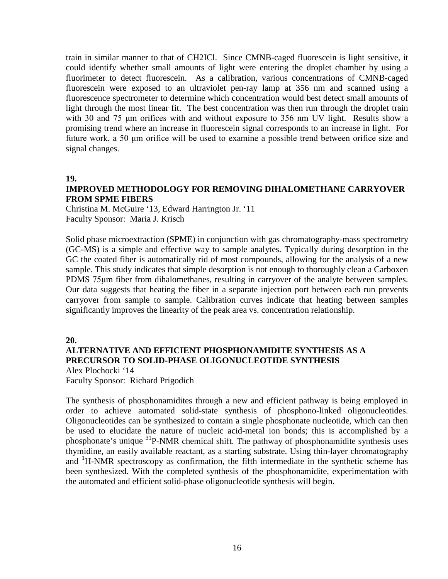train in similar manner to that of CH2ICl. Since CMNB-caged fluorescein is light sensitive, it could identify whether small amounts of light were entering the droplet chamber by using a fluorimeter to detect fluorescein. As a calibration, various concentrations of CMNB-caged fluorescein were exposed to an ultraviolet pen-ray lamp at 356 nm and scanned using a fluorescence spectrometer to determine which concentration would best detect small amounts of light through the most linear fit. The best concentration was then run through the droplet train with 30 and 75 μm orifices with and without exposure to 356 nm UV light. Results show a promising trend where an increase in fluorescein signal corresponds to an increase in light. For future work, a 50 μm orifice will be used to examine a possible trend between orifice size and signal changes.

#### **19.**

### **IMPROVED METHODOLOGY FOR REMOVING DIHALOMETHANE CARRYOVER FROM SPME FIBERS**

Christina M. McGuire '13, Edward Harrington Jr. '11 Faculty Sponsor: Maria J. Krisch

Solid phase microextraction (SPME) in conjunction with gas chromatography-mass spectrometry (GC-MS) is a simple and effective way to sample analytes. Typically during desorption in the GC the coated fiber is automatically rid of most compounds, allowing for the analysis of a new sample. This study indicates that simple desorption is not enough to thoroughly clean a Carboxen PDMS 75μm fiber from dihalomethanes, resulting in carryover of the analyte between samples. Our data suggests that heating the fiber in a separate injection port between each run prevents carryover from sample to sample. Calibration curves indicate that heating between samples significantly improves the linearity of the peak area vs. concentration relationship.

#### **20.**

## **ALTERNATIVE AND EFFICIENT PHOSPHONAMIDITE SYNTHESIS AS A PRECURSOR TO SOLID-PHASE OLIGONUCLEOTIDE SYNTHESIS**

Alex Plochocki '14 Faculty Sponsor: Richard Prigodich

The synthesis of phosphonamidites through a new and efficient pathway is being employed in order to achieve automated solid-state synthesis of phosphono-linked oligonucleotides. Oligonucleotides can be synthesized to contain a single phosphonate nucleotide, which can then be used to elucidate the nature of nucleic acid-metal ion bonds; this is accomplished by a phosphonate's unique 31P-NMR chemical shift. The pathway of phosphonamidite synthesis uses thymidine, an easily available reactant, as a starting substrate. Using thin-layer chromatography and <sup>1</sup>H-NMR spectroscopy as confirmation, the fifth intermediate in the synthetic scheme has been synthesized. With the completed synthesis of the phosphonamidite, experimentation with the automated and efficient solid-phase oligonucleotide synthesis will begin.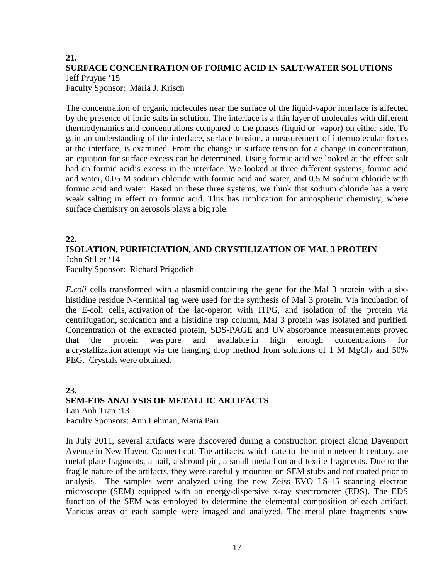### **21. SURFACE CONCENTRATION OF FORMIC ACID IN SALT/WATER SOLUTIONS** Jeff Pruyne '15 Faculty Sponsor: Maria J. Krisch

The concentration of organic molecules near the surface of the liquid-vapor interface is affected by the presence of ionic salts in solution. The interface is a thin layer of molecules with different thermodynamics and concentrations compared to the phases (liquid or vapor) on either side. To gain an understanding of the interface, surface tension, a measurement of intermolecular forces at the interface, is examined. From the change in surface tension for a change in concentration, an equation for surface excess can be determined. Using formic acid we looked at the effect salt had on formic acid's excess in the interface. We looked at three different systems, formic acid and water, 0.05 M sodium chloride with formic acid and water, and 0.5 M sodium chloride with formic acid and water. Based on these three systems, we think that sodium chloride has a very weak salting in effect on formic acid. This has implication for atmospheric chemistry, where surface chemistry on aerosols plays a big role.

## **22.**

### **ISOLATION, PURIFICIATION, AND CRYSTILIZATION OF MAL 3 PROTEIN** John Stiller '14

Faculty Sponsor: Richard Prigodich

*E.coli* cells transformed with a plasmid containing the gene for the Mal 3 protein with a sixhistidine residue N-terminal tag were used for the synthesis of Mal 3 protein. Via incubation of the E-coli cells, activation of the lac-operon with ITPG, and isolation of the protein via centrifugation, sonication and a histidine trap column, Mal 3 protein was isolated and purified. Concentration of the extracted protein, SDS-PAGE and UV absorbance measurements proved that the protein was pure and available in high enough concentrations for a crystallization attempt via the hanging drop method from solutions of 1 M  $MgCl<sub>2</sub>$  and 50% PEG. Crystals were obtained.

### **23. SEM-EDS ANALYSIS OF METALLIC ARTIFACTS** Lan Anh Tran '13 Faculty Sponsors: Ann Lehman, Maria Parr

In July 2011, several artifacts were discovered during a construction project along Davenport Avenue in New Haven, Connecticut. The artifacts, which date to the mid nineteenth century, are metal plate fragments, a nail, a shroud pin, a small medallion and textile fragments. Due to the fragile nature of the artifacts, they were carefully mounted on SEM stubs and not coated prior to analysis. The samples were analyzed using the new Zeiss EVO LS-15 scanning electron microscope (SEM) equipped with an energy-dispersive x-ray spectrometer (EDS). The EDS function of the SEM was employed to determine the elemental composition of each artifact. Various areas of each sample were imaged and analyzed. The metal plate fragments show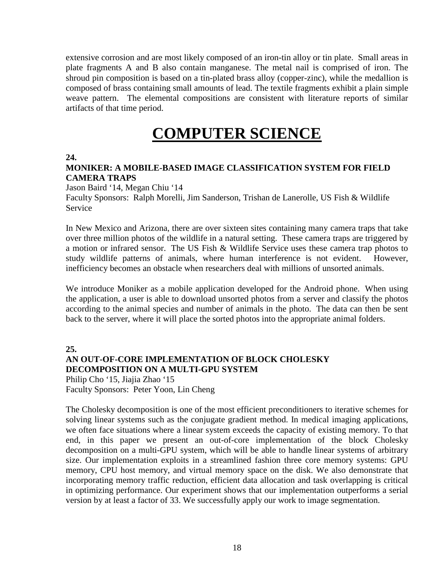extensive corrosion and are most likely composed of an iron-tin alloy or tin plate. Small areas in plate fragments A and B also contain manganese. The metal nail is comprised of iron. The shroud pin composition is based on a tin-plated brass alloy (copper-zinc), while the medallion is composed of brass containing small amounts of lead. The textile fragments exhibit a plain simple weave pattern. The elemental compositions are consistent with literature reports of similar artifacts of that time period.

## **COMPUTER SCIENCE**

**24.**

## **MONIKER: A MOBILE-BASED IMAGE CLASSIFICATION SYSTEM FOR FIELD CAMERA TRAPS**

Jason Baird '14, Megan Chiu '14

Faculty Sponsors: Ralph Morelli, Jim Sanderson, Trishan de Lanerolle, US Fish & Wildlife **Service** 

In New Mexico and Arizona, there are over sixteen sites containing many camera traps that take over three million photos of the wildlife in a natural setting. These camera traps are triggered by a motion or infrared sensor. The US Fish & Wildlife Service uses these camera trap photos to study wildlife patterns of animals, where human interference is not evident. However, inefficiency becomes an obstacle when researchers deal with millions of unsorted animals.

We introduce Moniker as a mobile application developed for the Android phone. When using the application, a user is able to download unsorted photos from a server and classify the photos according to the animal species and number of animals in the photo. The data can then be sent back to the server, where it will place the sorted photos into the appropriate animal folders.

**25.**

### **AN OUT-OF-CORE IMPLEMENTATION OF BLOCK CHOLESKY DECOMPOSITION ON A MULTI-GPU SYSTEM**

Philip Cho '15, Jiajia Zhao '15 Faculty Sponsors: Peter Yoon, Lin Cheng

The Cholesky decomposition is one of the most efficient preconditioners to iterative schemes for solving linear systems such as the conjugate gradient method. In medical imaging applications, we often face situations where a linear system exceeds the capacity of existing memory. To that end, in this paper we present an out-of-core implementation of the block Cholesky decomposition on a multi-GPU system, which will be able to handle linear systems of arbitrary size. Our implementation exploits in a streamlined fashion three core memory systems: GPU memory, CPU host memory, and virtual memory space on the disk. We also demonstrate that incorporating memory traffic reduction, efficient data allocation and task overlapping is critical in optimizing performance. Our experiment shows that our implementation outperforms a serial version by at least a factor of 33. We successfully apply our work to image segmentation.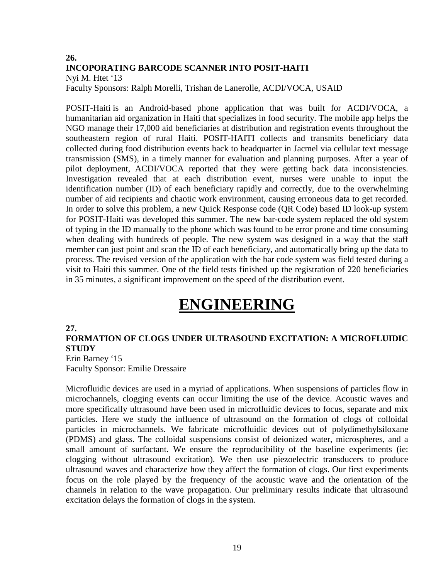## **26. INCOPORATING BARCODE SCANNER INTO POSIT-HAITI** Nyi M. Htet '13

Faculty Sponsors: Ralph Morelli, Trishan de Lanerolle, ACDI/VOCA, USAID

POSIT-Haiti is an Android-based phone application that was built for ACDI/VOCA, a humanitarian aid organization in Haiti that specializes in food security. The mobile app helps the NGO manage their 17,000 aid beneficiaries at distribution and registration events throughout the southeastern region of rural Haiti. POSIT-HAITI collects and transmits beneficiary data collected during food distribution events back to headquarter in Jacmel via cellular text message transmission (SMS), in a timely manner for evaluation and planning purposes. After a year of pilot deployment, ACDI/VOCA reported that they were getting back data inconsistencies. Investigation revealed that at each distribution event, nurses were unable to input the identification number (ID) of each beneficiary rapidly and correctly, due to the overwhelming number of aid recipients and chaotic work environment, causing erroneous data to get recorded. In order to solve this problem, a new Quick Response code (QR Code) based ID look-up system for POSIT-Haiti was developed this summer. The new bar-code system replaced the old system of typing in the ID manually to the phone which was found to be error prone and time consuming when dealing with hundreds of people. The new system was designed in a way that the staff member can just point and scan the ID of each beneficiary, and automatically bring up the data to process. The revised version of the application with the bar code system was field tested during a visit to Haiti this summer. One of the field tests finished up the registration of 220 beneficiaries in 35 minutes, a significant improvement on the speed of the distribution event.

## **ENGINEERING**

### **27.**

### **FORMATION OF CLOGS UNDER ULTRASOUND EXCITATION: A MICROFLUIDIC STUDY** Erin Barney '15

Faculty Sponsor: Emilie Dressaire

Microfluidic devices are used in a myriad of applications. When suspensions of particles flow in microchannels, clogging events can occur limiting the use of the device. Acoustic waves and more specifically ultrasound have been used in microfluidic devices to focus, separate and mix particles. Here we study the influence of ultrasound on the formation of clogs of colloidal particles in microchannels. We fabricate microfluidic devices out of polydimethylsiloxane (PDMS) and glass. The colloidal suspensions consist of deionized water, microspheres, and a small amount of surfactant. We ensure the reproducibility of the baseline experiments (ie: clogging without ultrasound excitation). We then use piezoelectric transducers to produce ultrasound waves and characterize how they affect the formation of clogs. Our first experiments focus on the role played by the frequency of the acoustic wave and the orientation of the channels in relation to the wave propagation. Our preliminary results indicate that ultrasound excitation delays the formation of clogs in the system.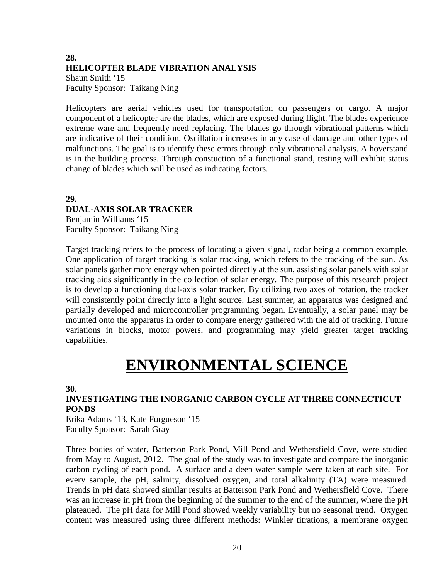## **28. HELICOPTER BLADE VIBRATION ANALYSIS** Shaun Smith '15 Faculty Sponsor: Taikang Ning

Helicopters are aerial vehicles used for transportation on passengers or cargo. A major component of a helicopter are the blades, which are exposed during flight. The blades experience extreme ware and frequently need replacing. The blades go through vibrational patterns which are indicative of their condition. Oscillation increases in any case of damage and other types of malfunctions. The goal is to identify these errors through only vibrational analysis. A hoverstand is in the building process. Through constuction of a functional stand, testing will exhibit status change of blades which will be used as indicating factors.

**29. DUAL-AXIS SOLAR TRACKER** Benjamin Williams '15 Faculty Sponsor: Taikang Ning

Target tracking refers to the process of locating a given signal, radar being a common example. One application of target tracking is solar tracking, which refers to the tracking of the sun. As solar panels gather more energy when pointed directly at the sun, assisting solar panels with solar tracking aids significantly in the collection of solar energy. The purpose of this research project is to develop a functioning dual-axis solar tracker. By utilizing two axes of rotation, the tracker will consistently point directly into a light source. Last summer, an apparatus was designed and partially developed and microcontroller programming began. Eventually, a solar panel may be mounted onto the apparatus in order to compare energy gathered with the aid of tracking. Future variations in blocks, motor powers, and programming may yield greater target tracking capabilities.

## **ENVIRONMENTAL SCIENCE**

**30.**

## **INVESTIGATING THE INORGANIC CARBON CYCLE AT THREE CONNECTICUT PONDS**

Erika Adams '13, Kate Furgueson '15 Faculty Sponsor: Sarah Gray

Three bodies of water, Batterson Park Pond, Mill Pond and Wethersfield Cove, were studied from May to August, 2012. The goal of the study was to investigate and compare the inorganic carbon cycling of each pond. A surface and a deep water sample were taken at each site. For every sample, the pH, salinity, dissolved oxygen, and total alkalinity (TA) were measured. Trends in pH data showed similar results at Batterson Park Pond and Wethersfield Cove. There was an increase in pH from the beginning of the summer to the end of the summer, where the pH plateaued. The pH data for Mill Pond showed weekly variability but no seasonal trend. Oxygen content was measured using three different methods: Winkler titrations, a membrane oxygen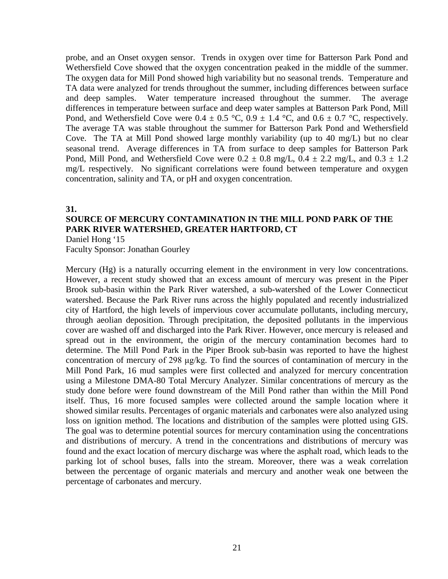probe, and an Onset oxygen sensor. Trends in oxygen over time for Batterson Park Pond and Wethersfield Cove showed that the oxygen concentration peaked in the middle of the summer. The oxygen data for Mill Pond showed high variability but no seasonal trends. Temperature and TA data were analyzed for trends throughout the summer, including differences between surface and deep samples. Water temperature increased throughout the summer. The average differences in temperature between surface and deep water samples at Batterson Park Pond, Mill Pond, and Wethersfield Cove were  $0.4 \pm 0.5$  °C,  $0.9 \pm 1.4$  °C, and  $0.6 \pm 0.7$  °C, respectively. The average TA was stable throughout the summer for Batterson Park Pond and Wethersfield Cove. The TA at Mill Pond showed large monthly variability (up to 40 mg/L) but no clear seasonal trend. Average differences in TA from surface to deep samples for Batterson Park Pond, Mill Pond, and Wethersfield Cove were  $0.2 \pm 0.8$  mg/L,  $0.4 \pm 2.2$  mg/L, and  $0.3 \pm 1.2$ mg/L respectively. No significant correlations were found between temperature and oxygen concentration, salinity and TA, or pH and oxygen concentration.

#### **31.**

## **SOURCE OF MERCURY CONTAMINATION IN THE MILL POND PARK OF THE PARK RIVER WATERSHED, GREATER HARTFORD, CT**

Daniel Hong '15 Faculty Sponsor: Jonathan Gourley

Mercury (Hg) is a naturally occurring element in the environment in very low concentrations. However, a recent study showed that an excess amount of mercury was present in the Piper Brook sub-basin within the Park River watershed, a sub-watershed of the Lower Connecticut watershed. Because the Park River runs across the highly populated and recently industrialized city of Hartford, the high levels of impervious cover accumulate pollutants, including mercury, through aeolian deposition. Through precipitation, the deposited pollutants in the impervious cover are washed off and discharged into the Park River. However, once mercury is released and spread out in the environment, the origin of the mercury contamination becomes hard to determine. The Mill Pond Park in the Piper Brook sub-basin was reported to have the highest concentration of mercury of 298 μg/kg. To find the sources of contamination of mercury in the Mill Pond Park, 16 mud samples were first collected and analyzed for mercury concentration using a Milestone DMA-80 Total Mercury Analyzer. Similar concentrations of mercury as the study done before were found downstream of the Mill Pond rather than within the Mill Pond itself. Thus, 16 more focused samples were collected around the sample location where it showed similar results. Percentages of organic materials and carbonates were also analyzed using loss on ignition method. The locations and distribution of the samples were plotted using GIS. The goal was to determine potential sources for mercury contamination using the concentrations and distributions of mercury. A trend in the concentrations and distributions of mercury was found and the exact location of mercury discharge was where the asphalt road, which leads to the parking lot of school buses, falls into the stream. Moreover, there was a weak correlation between the percentage of organic materials and mercury and another weak one between the percentage of carbonates and mercury.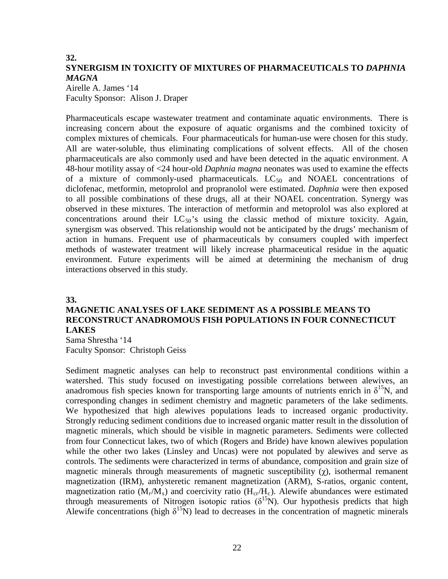## **32. SYNERGISM IN TOXICITY OF MIXTURES OF PHARMACEUTICALS TO** *DAPHNIA MAGNA*

Airelle A. James '14 Faculty Sponsor: Alison J. Draper

Pharmaceuticals escape wastewater treatment and contaminate aquatic environments. There is increasing concern about the exposure of aquatic organisms and the combined toxicity of complex mixtures of chemicals. Four pharmaceuticals for human-use were chosen for this study. All are water-soluble, thus eliminating complications of solvent effects. All of the chosen pharmaceuticals are also commonly used and have been detected in the aquatic environment. A 48-hour motility assay of <24 hour-old *Daphnia magna* neonates was used to examine the effects of a mixture of commonly-used pharmaceuticals.  $LC_{50}$  and NOAEL concentrations of diclofenac, metformin, metoprolol and propranolol were estimated. *Daphnia* were then exposed to all possible combinations of these drugs, all at their NOAEL concentration. Synergy was observed in these mixtures. The interaction of metformin and metoprolol was also explored at concentrations around their  $LC_{50}$ 's using the classic method of mixture toxicity. Again, synergism was observed. This relationship would not be anticipated by the drugs' mechanism of action in humans. Frequent use of pharmaceuticals by consumers coupled with imperfect methods of wastewater treatment will likely increase pharmaceutical residue in the aquatic environment. Future experiments will be aimed at determining the mechanism of drug interactions observed in this study.

#### **33.**

## **MAGNETIC ANALYSES OF LAKE SEDIMENT AS A POSSIBLE MEANS TO RECONSTRUCT ANADROMOUS FISH POPULATIONS IN FOUR CONNECTICUT LAKES**

Sama Shrestha '14 Faculty Sponsor: Christoph Geiss

Sediment magnetic analyses can help to reconstruct past environmental conditions within a watershed. This study focused on investigating possible correlations between alewives, an anadromous fish species known for transporting large amounts of nutrients enrich in  $\delta^{15}N$ , and corresponding changes in sediment chemistry and magnetic parameters of the lake sediments. We hypothesized that high alewives populations leads to increased organic productivity. Strongly reducing sediment conditions due to increased organic matter result in the dissolution of magnetic minerals, which should be visible in magnetic parameters. Sediments were collected from four Connecticut lakes, two of which (Rogers and Bride) have known alewives population while the other two lakes (Linsley and Uncas) were not populated by alewives and serve as controls. The sediments were characterized in terms of abundance, composition and grain size of magnetic minerals through measurements of magnetic susceptibility  $(\gamma)$ , isothermal remanent magnetization (IRM), anhysteretic remanent magnetization (ARM), S-ratios, organic content, magnetization ratio ( $M_r/M_s$ ) and coercivity ratio ( $H_{cr}/H_c$ ). Alewife abundances were estimated through measurements of Nitrogen isotopic ratios ( $\delta^{15}N$ ). Our hypothesis predicts that high Alewife concentrations (high  $\delta^{15}N$ ) lead to decreases in the concentration of magnetic minerals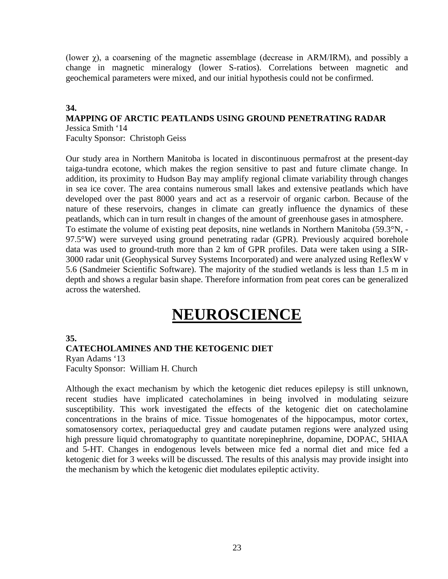(lower χ), a coarsening of the magnetic assemblage (decrease in ARM/IRM), and possibly a change in magnetic mineralogy (lower S-ratios). Correlations between magnetic and geochemical parameters were mixed, and our initial hypothesis could not be confirmed.

### **34.**

## **MAPPING OF ARCTIC PEATLANDS USING GROUND PENETRATING RADAR** Jessica Smith '14

Faculty Sponsor: Christoph Geiss

Our study area in Northern Manitoba is located in discontinuous permafrost at the present-day taiga-tundra ecotone, which makes the region sensitive to past and future climate change. In addition, its proximity to Hudson Bay may amplify regional climate variability through changes in sea ice cover. The area contains numerous small lakes and extensive peatlands which have developed over the past 8000 years and act as a reservoir of organic carbon. Because of the nature of these reservoirs, changes in climate can greatly influence the dynamics of these peatlands, which can in turn result in changes of the amount of greenhouse gases in atmosphere. To estimate the volume of existing peat deposits, nine wetlands in Northern Manitoba (59.3°N, - 97.5°W) were surveyed using ground penetrating radar (GPR). Previously acquired borehole data was used to ground-truth more than 2 km of GPR profiles. Data were taken using a SIR-3000 radar unit (Geophysical Survey Systems Incorporated) and were analyzed using ReflexW v 5.6 (Sandmeier Scientific Software). The majority of the studied wetlands is less than 1.5 m in depth and shows a regular basin shape. Therefore information from peat cores can be generalized across the watershed.

## **NEUROSCIENCE**

### **35.**

### **CATECHOLAMINES AND THE KETOGENIC DIET**

Ryan Adams '13 Faculty Sponsor: William H. Church

Although the exact mechanism by which the ketogenic diet reduces epilepsy is still unknown, recent studies have implicated catecholamines in being involved in modulating seizure susceptibility. This work investigated the effects of the ketogenic diet on catecholamine concentrations in the brains of mice. Tissue homogenates of the hippocampus, motor cortex, somatosensory cortex, periaqueductal grey and caudate putamen regions were analyzed using high pressure liquid chromatography to quantitate norepinephrine, dopamine, DOPAC, 5HIAA and 5-HT. Changes in endogenous levels between mice fed a normal diet and mice fed a ketogenic diet for 3 weeks will be discussed. The results of this analysis may provide insight into the mechanism by which the ketogenic diet modulates epileptic activity.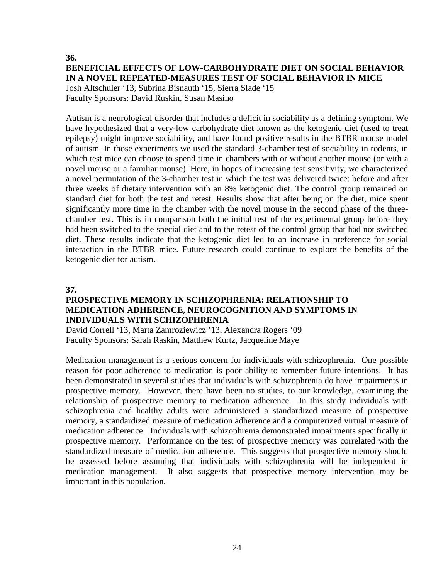## **36. BENEFICIAL EFFECTS OF LOW-CARBOHYDRATE DIET ON SOCIAL BEHAVIOR IN A NOVEL REPEATED-MEASURES TEST OF SOCIAL BEHAVIOR IN MICE**

Josh Altschuler '13, Subrina Bisnauth '15, Sierra Slade '15 Faculty Sponsors: David Ruskin, Susan Masino

Autism is a neurological disorder that includes a deficit in sociability as a defining symptom. We have hypothesized that a very-low carbohydrate diet known as the ketogenic diet (used to treat epilepsy) might improve sociability, and have found positive results in the BTBR mouse model of autism. In those experiments we used the standard 3-chamber test of sociability in rodents, in which test mice can choose to spend time in chambers with or without another mouse (or with a novel mouse or a familiar mouse). Here, in hopes of increasing test sensitivity, we characterized a novel permutation of the 3-chamber test in which the test was delivered twice: before and after three weeks of dietary intervention with an 8% ketogenic diet. The control group remained on standard diet for both the test and retest. Results show that after being on the diet, mice spent significantly more time in the chamber with the novel mouse in the second phase of the threechamber test. This is in comparison both the initial test of the experimental group before they had been switched to the special diet and to the retest of the control group that had not switched diet. These results indicate that the ketogenic diet led to an increase in preference for social interaction in the BTBR mice. Future research could continue to explore the benefits of the ketogenic diet for autism.

### **37.**

### **PROSPECTIVE MEMORY IN SCHIZOPHRENIA: RELATIONSHIP TO MEDICATION ADHERENCE, NEUROCOGNITION AND SYMPTOMS IN INDIVIDUALS WITH SCHIZOPHRENIA**

David Correll '13, Marta Zamroziewicz '13, Alexandra Rogers '09 Faculty Sponsors: Sarah Raskin, Matthew Kurtz, Jacqueline Maye

Medication management is a serious concern for individuals with schizophrenia. One possible reason for poor adherence to medication is poor ability to remember future intentions. It has been demonstrated in several studies that individuals with schizophrenia do have impairments in prospective memory. However, there have been no studies, to our knowledge, examining the relationship of prospective memory to medication adherence. In this study individuals with schizophrenia and healthy adults were administered a standardized measure of prospective memory, a standardized measure of medication adherence and a computerized virtual measure of medication adherence. Individuals with schizophrenia demonstrated impairments specifically in prospective memory. Performance on the test of prospective memory was correlated with the standardized measure of medication adherence. This suggests that prospective memory should be assessed before assuming that individuals with schizophrenia will be independent in medication management. It also suggests that prospective memory intervention may be important in this population.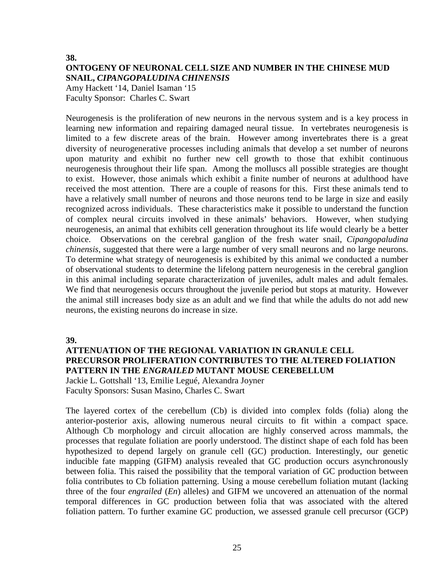#### **38.**

## **ONTOGENY OF NEURONAL CELL SIZE AND NUMBER IN THE CHINESE MUD SNAIL,** *CIPANGOPALUDINA CHINENSIS*

Amy Hackett '14, Daniel Isaman '15 Faculty Sponsor: Charles C. Swart

Neurogenesis is the proliferation of new neurons in the nervous system and is a key process in learning new information and repairing damaged neural tissue. In vertebrates neurogenesis is limited to a few discrete areas of the brain. However among invertebrates there is a great diversity of neurogenerative processes including animals that develop a set number of neurons upon maturity and exhibit no further new cell growth to those that exhibit continuous neurogenesis throughout their life span. Among the molluscs all possible strategies are thought to exist. However, those animals which exhibit a finite number of neurons at adulthood have received the most attention. There are a couple of reasons for this. First these animals tend to have a relatively small number of neurons and those neurons tend to be large in size and easily recognized across individuals. These characteristics make it possible to understand the function of complex neural circuits involved in these animals' behaviors. However, when studying neurogenesis, an animal that exhibits cell generation throughout its life would clearly be a better choice. Observations on the cerebral ganglion of the fresh water snail, *Cipangopaludina chinensis*, suggested that there were a large number of very small neurons and no large neurons. To determine what strategy of neurogenesis is exhibited by this animal we conducted a number of observational students to determine the lifelong pattern neurogenesis in the cerebral ganglion in this animal including separate characterization of juveniles, adult males and adult females. We find that neurogenesis occurs throughout the juvenile period but stops at maturity. However the animal still increases body size as an adult and we find that while the adults do not add new neurons, the existing neurons do increase in size.

**39.**

### **ATTENUATION OF THE REGIONAL VARIATION IN GRANULE CELL PRECURSOR PROLIFERATION CONTRIBUTES TO THE ALTERED FOLIATION PATTERN IN THE** *ENGRAILED* **MUTANT MOUSE CEREBELLUM**

Jackie L. Gottshall '13, Emilie Legué, Alexandra Joyner Faculty Sponsors: Susan Masino, Charles C. Swart

The layered cortex of the cerebellum (Cb) is divided into complex folds (folia) along the anterior-posterior axis, allowing numerous neural circuits to fit within a compact space. Although Cb morphology and circuit allocation are highly conserved across mammals, the processes that regulate foliation are poorly understood. The distinct shape of each fold has been hypothesized to depend largely on granule cell (GC) production. Interestingly, our genetic inducible fate mapping (GIFM) analysis revealed that GC production occurs asynchronously between folia. This raised the possibility that the temporal variation of GC production between folia contributes to Cb foliation patterning. Using a mouse cerebellum foliation mutant (lacking three of the four *engrailed* (*En*) alleles) and GIFM we uncovered an attenuation of the normal temporal differences in GC production between folia that was associated with the altered foliation pattern. To further examine GC production, we assessed granule cell precursor (GCP)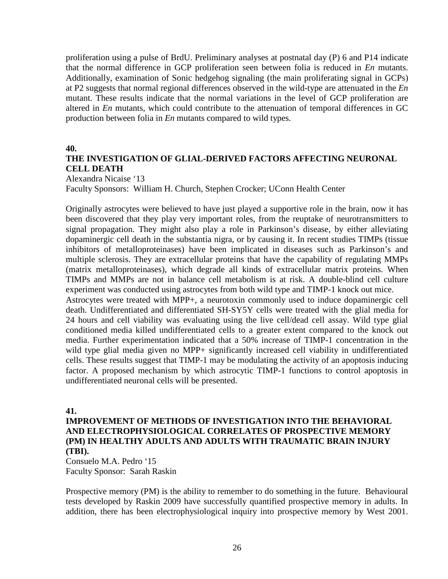proliferation using a pulse of BrdU. Preliminary analyses at postnatal day (P) 6 and P14 indicate that the normal difference in GCP proliferation seen between folia is reduced in *En* mutants. Additionally, examination of Sonic hedgehog signaling (the main proliferating signal in GCPs) at P2 suggests that normal regional differences observed in the wild-type are attenuated in the *En* mutant. These results indicate that the normal variations in the level of GCP proliferation are altered in *En* mutants, which could contribute to the attenuation of temporal differences in GC production between folia in *En* mutants compared to wild types.

#### **40.**

### **THE INVESTIGATION OF GLIAL-DERIVED FACTORS AFFECTING NEURONAL CELL DEATH**

Alexandra Nicaise '13

Faculty Sponsors: William H. Church, Stephen Crocker; UConn Health Center

Originally astrocytes were believed to have just played a supportive role in the brain, now it has been discovered that they play very important roles, from the reuptake of neurotransmitters to signal propagation. They might also play a role in Parkinson's disease, by either alleviating dopaminergic cell death in the substantia nigra, or by causing it. In recent studies TIMPs (tissue inhibitors of metalloproteinases) have been implicated in diseases such as Parkinson's and multiple sclerosis. They are extracellular proteins that have the capability of regulating MMPs (matrix metalloproteinases), which degrade all kinds of extracellular matrix proteins. When TIMPs and MMPs are not in balance cell metabolism is at risk. A double-blind cell culture experiment was conducted using astrocytes from both wild type and TIMP-1 knock out mice.

Astrocytes were treated with MPP+, a neurotoxin commonly used to induce dopaminergic cell death. Undifferentiated and differentiated SH-SY5Y cells were treated with the glial media for 24 hours and cell viability was evaluating using the live cell/dead cell assay. Wild type glial conditioned media killed undifferentiated cells to a greater extent compared to the knock out media. Further experimentation indicated that a 50% increase of TIMP-1 concentration in the wild type glial media given no MPP+ significantly increased cell viability in undifferentiated cells. These results suggest that TIMP-1 may be modulating the activity of an apoptosis inducing factor. A proposed mechanism by which astrocytic TIMP-1 functions to control apoptosis in undifferentiated neuronal cells will be presented.

#### **41.**

### **IMPROVEMENT OF METHODS OF INVESTIGATION INTO THE BEHAVIORAL AND ELECTROPHYSIOLOGICAL CORRELATES OF PROSPECTIVE MEMORY (PM) IN HEALTHY ADULTS AND ADULTS WITH TRAUMATIC BRAIN INJURY (TBI).**

Consuelo M.A. Pedro '15 Faculty Sponsor: Sarah Raskin

Prospective memory (PM) is the ability to remember to do something in the future. Behavioural tests developed by Raskin 2009 have successfully quantified prospective memory in adults. In addition, there has been electrophysiological inquiry into prospective memory by West 2001.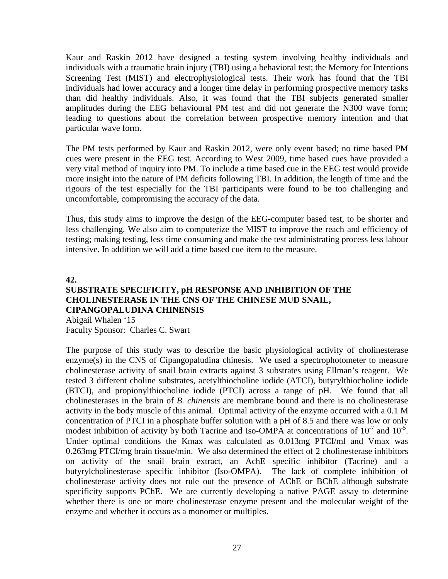Kaur and Raskin 2012 have designed a testing system involving healthy individuals and individuals with a traumatic brain injury (TBI) using a behavioral test; the Memory for Intentions Screening Test (MIST) and electrophysiological tests. Their work has found that the TBI individuals had lower accuracy and a longer time delay in performing prospective memory tasks than did healthy individuals. Also, it was found that the TBI subjects generated smaller amplitudes during the EEG behavioural PM test and did not generate the N300 wave form; leading to questions about the correlation between prospective memory intention and that particular wave form.

The PM tests performed by Kaur and Raskin 2012, were only event based; no time based PM cues were present in the EEG test. According to West 2009, time based cues have provided a very vital method of inquiry into PM. To include a time based cue in the EEG test would provide more insight into the nature of PM deficits following TBI. In addition, the length of time and the rigours of the test especially for the TBI participants were found to be too challenging and uncomfortable, compromising the accuracy of the data.

Thus, this study aims to improve the design of the EEG-computer based test, to be shorter and less challenging. We also aim to computerize the MIST to improve the reach and efficiency of testing; making testing, less time consuming and make the test administrating process less labour intensive. In addition we will add a time based cue item to the measure.

### **42.**

## **SUBSTRATE SPECIFICITY, pH RESPONSE AND INHIBITION OF THE CHOLINESTERASE IN THE CNS OF THE CHINESE MUD SNAIL, CIPANGOPALUDINA CHINENSIS**

Abigail Whalen '15 Faculty Sponsor: Charles C. Swart

The purpose of this study was to describe the basic physiological activity of cholinesterase enzyme(s) in the CNS of Cipangopaludina chinesis. We used a spectrophotometer to measure cholinesterase activity of snail brain extracts against 3 substrates using Ellman's reagent. We tested 3 different choline substrates, acetylthiocholine iodide (ATCI), butyrylthiocholine iodide (BTCI), and propionylthiocholine iodide (PTCI) across a range of pH. We found that all cholinesterases in the brain of *B. chinensis* are membrane bound and there is no cholinesterase activity in the body muscle of this animal. Optimal activity of the enzyme occurred with a 0.1 M concentration of PTCI in a phosphate buffer solution with a pH of 8.5 and there was low or only modest inhibition of activity by both Tacrine and Iso-OMPA at concentrations of  $10^{-7}$  and  $10^{-5}$ . Under optimal conditions the Kmax was calculated as 0.013mg PTCI/ml and Vmax was 0.263mg PTCI/mg brain tissue/min. We also determined the effect of 2 cholinesterase inhibitors on activity of the snail brain extract, an AchE specific inhibitor (Tacrine) and a butyrylcholinesterase specific inhibitor (Iso-OMPA). The lack of complete inhibition of cholinesterase activity does not rule out the presence of AChE or BChE although substrate specificity supports PChE. We are currently developing a native PAGE assay to determine whether there is one or more cholinesterase enzyme present and the molecular weight of the enzyme and whether it occurs as a monomer or multiples.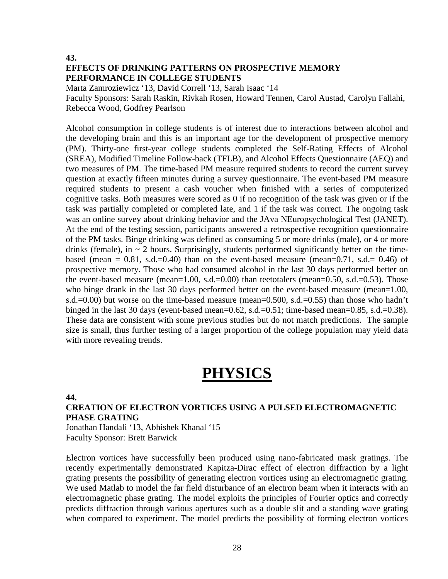**43.**

## **EFFECTS OF DRINKING PATTERNS ON PROSPECTIVE MEMORY PERFORMANCE IN COLLEGE STUDENTS**

Marta Zamroziewicz '13, David Correll '13, Sarah Isaac '14

Faculty Sponsors: Sarah Raskin, Rivkah Rosen, Howard Tennen, Carol Austad, Carolyn Fallahi, Rebecca Wood, Godfrey Pearlson

Alcohol consumption in college students is of interest due to interactions between alcohol and the developing brain and this is an important age for the development of prospective memory (PM). Thirty-one first-year college students completed the Self-Rating Effects of Alcohol (SREA), Modified Timeline Follow-back (TFLB), and Alcohol Effects Questionnaire (AEQ) and two measures of PM. The time-based PM measure required students to record the current survey question at exactly fifteen minutes during a survey questionnaire. The event-based PM measure required students to present a cash voucher when finished with a series of computerized cognitive tasks. Both measures were scored as 0 if no recognition of the task was given or if the task was partially completed or completed late, and 1 if the task was correct. The ongoing task was an online survey about drinking behavior and the JAva NEuropsychological Test (JANET). At the end of the testing session, participants answered a retrospective recognition questionnaire of the PM tasks. Binge drinking was defined as consuming 5 or more drinks (male), or 4 or more drinks (female), in  $\sim$  2 hours. Surprisingly, students performed significantly better on the timebased (mean =  $0.81$ , s.d.= $0.40$ ) than on the event-based measure (mean= $0.71$ , s.d.=  $0.46$ ) of prospective memory. Those who had consumed alcohol in the last 30 days performed better on the event-based measure (mean=1.00, s.d.=0.00) than teetotalers (mean=0.50, s.d.=0.53). Those who binge drank in the last 30 days performed better on the event-based measure (mean=1.00, s.d.=0.00) but worse on the time-based measure (mean=0.500, s.d.=0.55) than those who hadn't binged in the last 30 days (event-based mean=0.62, s.d.=0.51; time-based mean=0.85, s.d.=0.38). These data are consistent with some previous studies but do not match predictions. The sample size is small, thus further testing of a larger proportion of the college population may yield data with more revealing trends.

## **PHYSICS**

**44.**

## **CREATION OF ELECTRON VORTICES USING A PULSED ELECTROMAGNETIC PHASE GRATING**

Jonathan Handali '13, Abhishek Khanal '15 Faculty Sponsor: Brett Barwick

Electron vortices have successfully been produced using nano-fabricated mask gratings. The recently experimentally demonstrated Kapitza-Dirac effect of electron diffraction by a light grating presents the possibility of generating electron vortices using an electromagnetic grating. We used Matlab to model the far field disturbance of an electron beam when it interacts with an electromagnetic phase grating. The model exploits the principles of Fourier optics and correctly predicts diffraction through various apertures such as a double slit and a standing wave grating when compared to experiment. The model predicts the possibility of forming electron vortices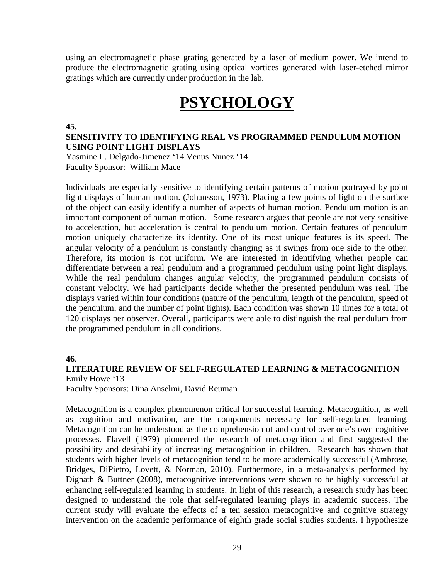using an electromagnetic phase grating generated by a laser of medium power. We intend to produce the electromagnetic grating using optical vortices generated with laser-etched mirror gratings which are currently under production in the lab.

## **PSYCHOLOGY**

#### **45.**

### **SENSITIVITY TO IDENTIFYING REAL VS PROGRAMMED PENDULUM MOTION USING POINT LIGHT DISPLAYS**

Yasmine L. Delgado-Jimenez '14 Venus Nunez '14 Faculty Sponsor: William Mace

Individuals are especially sensitive to identifying certain patterns of motion portrayed by point light displays of human motion. (Johansson, 1973). Placing a few points of light on the surface of the object can easily identify a number of aspects of human motion. Pendulum motion is an important component of human motion. Some research argues that people are not very sensitive to acceleration, but acceleration is central to pendulum motion. Certain features of pendulum motion uniquely characterize its identity. One of its most unique features is its speed. The angular velocity of a pendulum is constantly changing as it swings from one side to the other. Therefore, its motion is not uniform. We are interested in identifying whether people can differentiate between a real pendulum and a programmed pendulum using point light displays. While the real pendulum changes angular velocity, the programmed pendulum consists of constant velocity. We had participants decide whether the presented pendulum was real. The displays varied within four conditions (nature of the pendulum, length of the pendulum, speed of the pendulum, and the number of point lights). Each condition was shown 10 times for a total of 120 displays per observer. Overall, participants were able to distinguish the real pendulum from the programmed pendulum in all conditions.

#### **46.**

#### **LITERATURE REVIEW OF SELF-REGULATED LEARNING & METACOGNITION** Emily Howe '13

Faculty Sponsors: Dina Anselmi, David Reuman

Metacognition is a complex phenomenon critical for successful learning. Metacognition, as well as cognition and motivation, are the components necessary for self-regulated learning. Metacognition can be understood as the comprehension of and control over one's own cognitive processes. Flavell (1979) pioneered the research of metacognition and first suggested the possibility and desirability of increasing metacognition in children. Research has shown that students with higher levels of metacognition tend to be more academically successful (Ambrose, Bridges, DiPietro, Lovett, & Norman, 2010). Furthermore, in a meta-analysis performed by Dignath & Buttner (2008), metacognitive interventions were shown to be highly successful at enhancing self-regulated learning in students. In light of this research, a research study has been designed to understand the role that self-regulated learning plays in academic success. The current study will evaluate the effects of a ten session metacognitive and cognitive strategy intervention on the academic performance of eighth grade social studies students. I hypothesize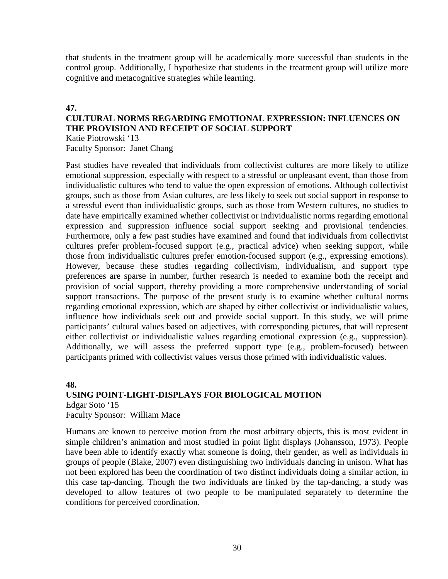that students in the treatment group will be academically more successful than students in the control group. Additionally, I hypothesize that students in the treatment group will utilize more cognitive and metacognitive strategies while learning.

#### **47.**

## **CULTURAL NORMS REGARDING EMOTIONAL EXPRESSION: INFLUENCES ON THE PROVISION AND RECEIPT OF SOCIAL SUPPORT**

Katie Piotrowski '13 Faculty Sponsor: Janet Chang

Past studies have revealed that individuals from collectivist cultures are more likely to utilize emotional suppression, especially with respect to a stressful or unpleasant event, than those from individualistic cultures who tend to value the open expression of emotions. Although collectivist groups, such as those from Asian cultures, are less likely to seek out social support in response to a stressful event than individualistic groups, such as those from Western cultures, no studies to date have empirically examined whether collectivist or individualistic norms regarding emotional expression and suppression influence social support seeking and provisional tendencies. Furthermore, only a few past studies have examined and found that individuals from collectivist cultures prefer problem-focused support (e.g., practical advice) when seeking support, while those from individualistic cultures prefer emotion-focused support (e.g., expressing emotions). However, because these studies regarding collectivism, individualism, and support type preferences are sparse in number, further research is needed to examine both the receipt and provision of social support, thereby providing a more comprehensive understanding of social support transactions. The purpose of the present study is to examine whether cultural norms regarding emotional expression, which are shaped by either collectivist or individualistic values, influence how individuals seek out and provide social support. In this study, we will prime participants' cultural values based on adjectives, with corresponding pictures, that will represent either collectivist or individualistic values regarding emotional expression (e.g., suppression). Additionally, we will assess the preferred support type (e.g., problem-focused) between participants primed with collectivist values versus those primed with individualistic values.

#### **48.**

### **USING POINT-LIGHT-DISPLAYS FOR BIOLOGICAL MOTION**

Edgar Soto '15 Faculty Sponsor: William Mace

Humans are known to perceive motion from the most arbitrary objects, this is most evident in simple children's animation and most studied in point light displays (Johansson, 1973). People have been able to identify exactly what someone is doing, their gender, as well as individuals in groups of people (Blake, 2007) even distinguishing two individuals dancing in unison. What has not been explored has been the coordination of two distinct individuals doing a similar action, in this case tap-dancing. Though the two individuals are linked by the tap-dancing, a study was developed to allow features of two people to be manipulated separately to determine the conditions for perceived coordination.